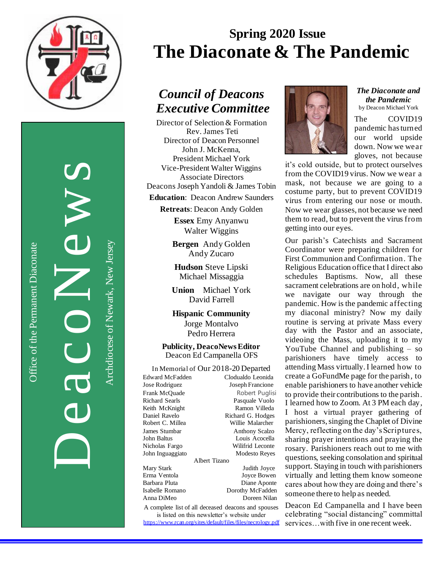

Office of the Permanent Diaconate

Office of the Permanent Diaconate

DeacoNews News Archdiocese of Newark, New JerseyArchdiocese of Newark, New Jersey

# **Spring 2020 Issue The Diaconate & The Pandemic**

## *Council of Deacons Executive Committee*

Director of Selection & Formation Rev. James Teti Director of Deacon Personnel John J. McKenna, President Michael York Vice-President Walter Wiggins Associate Directors Deacons Joseph Yandoli & James Tobin

**Education**: Deacon Andrew Saunders

**Retreats**: Deacon Andy Golden

**Essex** Emy Anyanwu Walter Wiggins

**Bergen** Andy Golden Andy Zucaro

**Hudson** Steve Lipski Michael Missaggia

**Union** Michael York David Farrell

**Hispanic Community** Jorge Montalvo Pedro Herrera

**Publicity, DeacoNews Editor** Deacon Ed Campanella OFS

In Memorial of Our 2018-20 Departed Edward McFadden Clodualdo Leonida Jose Rodriguez Joseph Francione Frank McQuade **Robert Puglisi**<br>Richard Searls **Range Pasquale Vuolo** Pasquale Vuolo Keith McKnight Ramon Villeda Daniel Ravelo Richard G. Hodges Willie Malarcher James Stumbar Anthony Scalzo<br>
John Baltus<br>
Louis Acocella Louis Acocella Nicholas Fargo Wilifrid Leconte John Inguaggiato Modesto Reyes Albert Tizano Mary Stark Judith Joyce Erma Ventola

Barbara Pluta Diane Aponte Isabelle Romano Dorothy McFadden Anna DiMeo Doreen Nilan

A complete list of all deceased deacons and spouses is listed on this newsletter's website under <https://www.rcan.org/sites/default/files/files/necrology.pdf>



*The Diaconate and the Pandemic* by Deacon Michael York

The COVID19 pandemic has turned our world upside down. Now we wear gloves, not because

it's cold outside, but to protect ourselves from the COVID19 virus. Now we wear a mask, not because we are going to a costume party, but to prevent COVID19 virus from entering our nose or mouth. Now we wear glasses, not because we need them to read, but to prevent the virus from getting into our eyes.

Our parish's Catechists and Sacrament Coordinator were preparing children for First Communion and Confirmation. The Religious Education office that I direct also schedules Baptisms. Now, all these sacrament celebrations are on hold, while we navigate our way through the pandemic. How is the pandemic affecting my diaconal ministry? Now my daily routine is serving at private Mass every day with the Pastor and an associate, videoing the Mass, uploading it to my YouTube Channel and publishing – so parishioners have timely access to attending Mass virtually. I learned how to create a GoFundMe page for the parish, to enable parishioners to have another vehicle to provide their contributions to the parish. I learned how to Zoom. At 3 PM each day, I host a virtual prayer gathering of parishioners, singing the Chaplet of Divine Mercy, reflecting on the day's Scriptures, sharing prayer intentions and praying the rosary. Parishioners reach out to me with questions, seeking consolation and spiritual support. Staying in touch with parishioners virtually and letting them know someone cares about how they are doing and there's someone there to help as needed.

Deacon Ed Campanella and I have been celebrating "social distancing" committal services…with five in one recent week.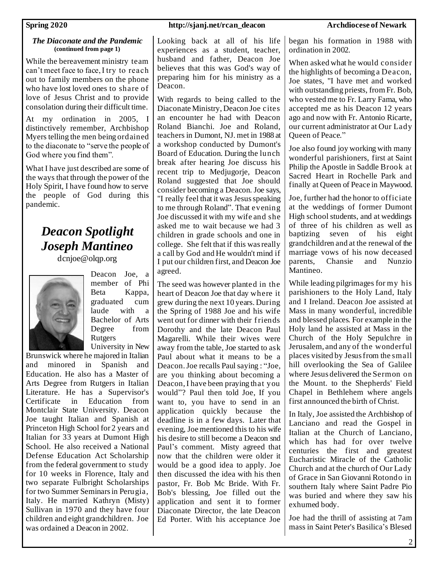### *The Diaconate and the Pandemic* **(continued from page 1)**

While the bereavement ministry team can't meet face to face, I try to reach out to family members on the phone who have lost loved ones to share of love of Jesus Christ and to provide consolation during their difficult time.

At my ordination in 2005, I distinctively remember, Archbishop Myers telling the men being ordained to the diaconate to "serve the people of God where you find them".

What I have just described are some of the ways that through the power of the Holy Spirit, I have found how to serve the people of God during this pandemic.

# *Deacon Spotlight Joseph Mantineo*

dcnjoe@olqp.org



Deacon Joe, a member of Phi Beta Kappa, graduated cum laude with a Bachelor of Arts Degree from Rutgers University in New

Brunswick where he majored in Italian and minored in Spanish and Education. He also has a Master of Arts Degree from Rutgers in Italian Literature. He has a Supervisor's Certificate in Education from Montclair State University. Deacon Joe taught Italian and Spanish at Princeton High School for 2 years and Italian for 33 years at Dumont High School. He also received a National Defense Education Act Scholarship from the federal government to study for 10 weeks in Florence, Italy and two separate Fulbright Scholarships for two Summer Seminars in Perugia, Italy. He married Kathryn (Misty) Sullivan in 1970 and they have four children and eight grandchildren. Joe was ordained a Deacon in 2002.

### **Spring 2020 http://sjanj.net/rcan\_deacon Archdiocese of Newark**

Looking back at all of his life experiences as a student, teacher, husband and father, Deacon Joe believes that this was God's way of preparing him for his ministry as a Deacon.

With regards to being called to the Diaconate Ministry, Deacon Joe cites an encounter he had with Deacon Roland Bianchi. Joe and Roland, teachers in Dumont, NJ. met in 1988 at a workshop conducted by Dumont's Board of Education. During the lunch break after hearing Joe discuss his recent trip to Mediugorie, Deacon Roland suggested that Joe should consider becoming a Deacon. Joe says, "I really feel that it was Jesus speaking to me through Roland". That evening Joe discussed it with my wife and she asked me to wait because we had 3 children in grade schools and one in college. She felt that if this was really a call by God and He wouldn't mind if I put our children first, and Deacon Joe agreed.

The seed was however planted in the heart of Deacon Joe that day where it grew during the next 10 years. During the Spring of 1988 Joe and his wife went out for dinner with their f riends Dorothy and the late Deacon Paul Magarelli. While their wives were away from the table, Joe started to ask Paul about what it means to be a Deacon. Joe recalls Paul saying : "Joe, are you thinking about becoming a Deacon, I have been praying that you would"? Paul then told Joe, If you want to, you have to send in an application quickly because the deadline is in a few days. Later that evening, Joe mentioned this to his wife his desire to still become a Deacon snd Paul's comment. Misty agreed that now that the children were older it would be a good idea to apply. Joe then discussed the idea with his then pastor, Fr. Bob Mc Bride. With Fr. Bob's blessing, Joe filled out the application and sent it to former Diaconate Director, the late Deacon Ed Porter. With his acceptance Joe

began his formation in 1988 with ordination in 2002.

When asked what he would consider the highlights of becoming a Deacon, Joe states, "I have met and worked with outstanding priests, from Fr. Bob, who vested me to Fr. Larry Fama, who accepted me as his Deacon 12 years ago and now with Fr. Antonio Ricarte, our current administrator at Our Lady Queen of Peace."

Joe also found joy working with many wonderful parishioners, first at Saint Philip the Apostle in Saddle Brook at Sacred Heart in Rochelle Park and finally at Queen of Peace in Maywood.

Joe, further had the honor to officiate at the weddings of former Dumont High school students, and at weddings of three of his children as well as baptizing seven of his eight grandchildren and at the renewal of the marriage vows of his now deceased parents, Chansie and Nunzio Mantineo.

While leading pilgrimages for my his parishioners to the Holy Land, Italy and I Ireland. Deacon Joe assisted at Mass in many wonderful, incredible and blessed places. For example in the Holy land he assisted at Mass in the Church of the Holy Sepulchre in Jerusalem, and any of the wonderful places visited by Jesus from the small hill overlooking the Sea of Galilee where Jesus delivered the Sermon on the Mount. to the Shepherds' Field Chapel in Bethlehem where angels first announced the birth of Christ.

In Italy, Joe assisted the Archbishop of Lanciano and read the Gospel in Italian at the Church of Lanciano, which has had for over twelve centuries the first and greatest Eucharistic Miracle of the Catholic Church and at the church of Our Lady of Grace in San Giovanni Rotondo in southern Italy where Saint Padre Pio was buried and where they saw his exhumed body.

Joe had the thrill of assisting at 7am mass in Saint Peter's Basilica's Blesed